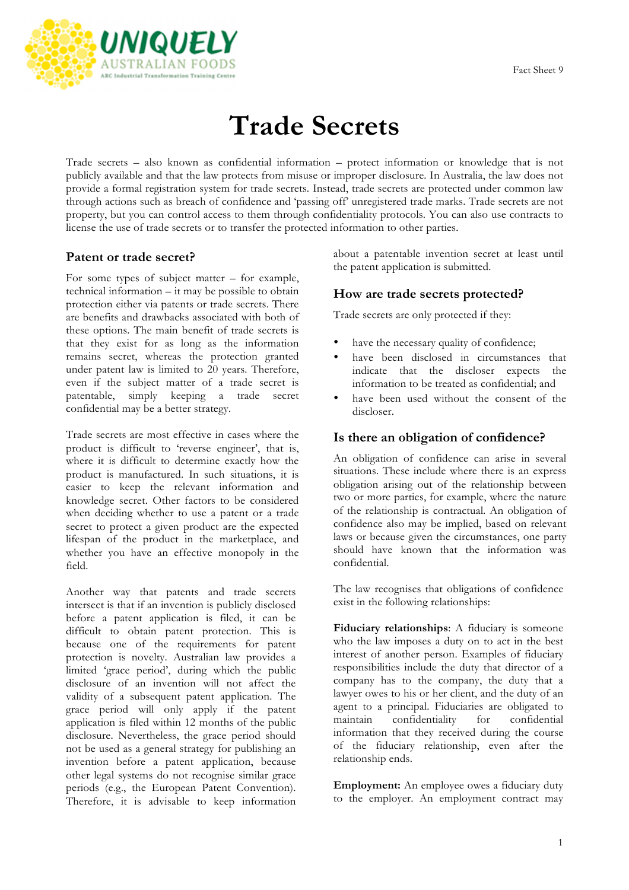

# **Trade Secrets**

Trade secrets – also known as confidential information – protect information or knowledge that is not publicly available and that the law protects from misuse or improper disclosure. In Australia, the law does not provide a formal registration system for trade secrets. Instead, trade secrets are protected under common law through actions such as breach of confidence and 'passing off' unregistered trade marks. Trade secrets are not property, but you can control access to them through confidentiality protocols. You can also use contracts to license the use of trade secrets or to transfer the protected information to other parties.

## **Patent or trade secret?**

For some types of subject matter – for example, technical information – it may be possible to obtain protection either via patents or trade secrets. There are benefits and drawbacks associated with both of these options. The main benefit of trade secrets is that they exist for as long as the information remains secret, whereas the protection granted under patent law is limited to 20 years. Therefore, even if the subject matter of a trade secret is patentable, simply keeping a trade secret confidential may be a better strategy.

Trade secrets are most effective in cases where the product is difficult to 'reverse engineer', that is, where it is difficult to determine exactly how the product is manufactured. In such situations, it is easier to keep the relevant information and knowledge secret. Other factors to be considered when deciding whether to use a patent or a trade secret to protect a given product are the expected lifespan of the product in the marketplace, and whether you have an effective monopoly in the field.

Another way that patents and trade secrets intersect is that if an invention is publicly disclosed before a patent application is filed, it can be difficult to obtain patent protection. This is because one of the requirements for patent protection is novelty. Australian law provides a limited 'grace period', during which the public disclosure of an invention will not affect the validity of a subsequent patent application. The grace period will only apply if the patent application is filed within 12 months of the public disclosure. Nevertheless, the grace period should not be used as a general strategy for publishing an invention before a patent application, because other legal systems do not recognise similar grace periods (e.g., the European Patent Convention). Therefore, it is advisable to keep information

about a patentable invention secret at least until the patent application is submitted.

#### **How are trade secrets protected?**

Trade secrets are only protected if they:

- have the necessary quality of confidence;
- have been disclosed in circumstances that indicate that the discloser expects the information to be treated as confidential; and
- have been used without the consent of the discloser.

#### **Is there an obligation of confidence?**

An obligation of confidence can arise in several situations. These include where there is an express obligation arising out of the relationship between two or more parties, for example, where the nature of the relationship is contractual. An obligation of confidence also may be implied, based on relevant laws or because given the circumstances, one party should have known that the information was confidential.

The law recognises that obligations of confidence exist in the following relationships:

**Fiduciary relationships**: A fiduciary is someone who the law imposes a duty on to act in the best interest of another person. Examples of fiduciary responsibilities include the duty that director of a company has to the company, the duty that a lawyer owes to his or her client, and the duty of an agent to a principal. Fiduciaries are obligated to maintain confidentiality for confidential information that they received during the course of the fiduciary relationship, even after the relationship ends.

**Employment:** An employee owes a fiduciary duty to the employer. An employment contract may